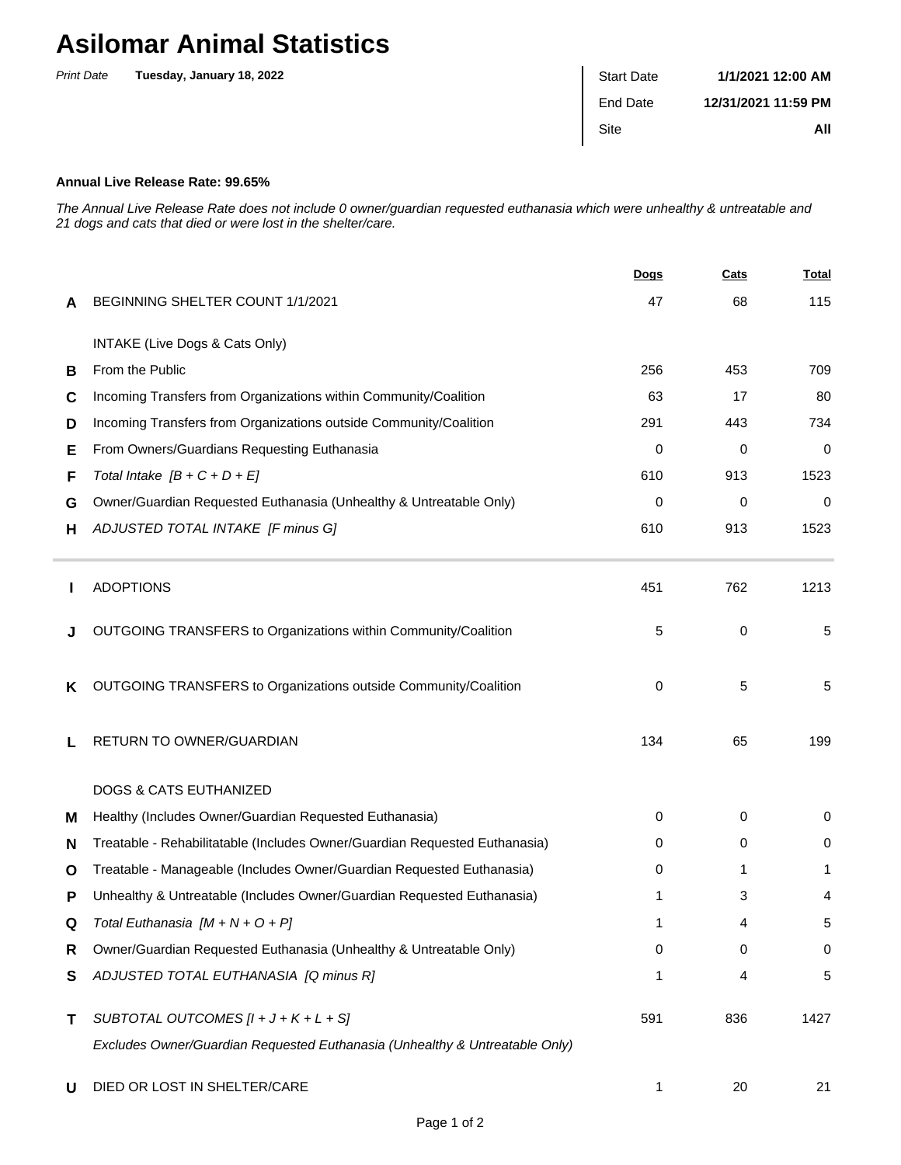## **Asilomar Animal Statistics**

| <b>Print Date</b> | Tuesday, January 18, 2022 | <b>Start Date</b> | 1/1/2021 12:00 AM   |
|-------------------|---------------------------|-------------------|---------------------|
|                   |                           | End Date          | 12/31/2021 11:59 PM |
|                   |                           | Site              | All                 |
|                   |                           |                   |                     |

## **Annual Live Release Rate: 99.65%**

The Annual Live Release Rate does not include 0 owner/guardian requested euthanasia which were unhealthy & untreatable and 21 dogs and cats that died or were lost in the shelter/care.

|   |                                                                             | <b>Dogs</b> | Cats | <u>Total</u> |
|---|-----------------------------------------------------------------------------|-------------|------|--------------|
| A | BEGINNING SHELTER COUNT 1/1/2021                                            | 47          | 68   | 115          |
|   | INTAKE (Live Dogs & Cats Only)                                              |             |      |              |
| B | From the Public                                                             | 256         | 453  | 709          |
| C | Incoming Transfers from Organizations within Community/Coalition            | 63          | 17   | 80           |
| D | Incoming Transfers from Organizations outside Community/Coalition           | 291         | 443  | 734          |
| Е | From Owners/Guardians Requesting Euthanasia                                 | 0           | 0    | 0            |
| F | Total Intake $[B + C + D + E]$                                              | 610         | 913  | 1523         |
| G | Owner/Guardian Requested Euthanasia (Unhealthy & Untreatable Only)          | 0           | 0    | 0            |
| н | ADJUSTED TOTAL INTAKE [F minus G]                                           | 610         | 913  | 1523         |
|   | <b>ADOPTIONS</b>                                                            | 451         | 762  | 1213         |
|   | OUTGOING TRANSFERS to Organizations within Community/Coalition              | 5           | 0    | $\sqrt{5}$   |
| ĸ | OUTGOING TRANSFERS to Organizations outside Community/Coalition             | 0           | 5    | 5            |
| L | RETURN TO OWNER/GUARDIAN                                                    | 134         | 65   | 199          |
|   | <b>DOGS &amp; CATS EUTHANIZED</b>                                           |             |      |              |
| м | Healthy (Includes Owner/Guardian Requested Euthanasia)                      | 0           | 0    | 0            |
| N | Treatable - Rehabilitatable (Includes Owner/Guardian Requested Euthanasia)  | 0           | 0    | 0            |
| O | Treatable - Manageable (Includes Owner/Guardian Requested Euthanasia)       | 0           | 1    | 1            |
| Р | Unhealthy & Untreatable (Includes Owner/Guardian Requested Euthanasia)      |             | 3    | 4            |
| Q | Total Euthanasia $[M + N + O + P]$                                          |             |      | 5            |
| R | Owner/Guardian Requested Euthanasia (Unhealthy & Untreatable Only)          | 0           | 0    | 0            |
| S | ADJUSTED TOTAL EUTHANASIA [Q minus R]                                       | 1           | 4    | 5            |
| т | SUBTOTAL OUTCOMES $[l + J + K + L + S]$                                     | 591         | 836  | 1427         |
|   | Excludes Owner/Guardian Requested Euthanasia (Unhealthy & Untreatable Only) |             |      |              |
| U | DIED OR LOST IN SHELTER/CARE                                                | 1           | 20   | 21           |